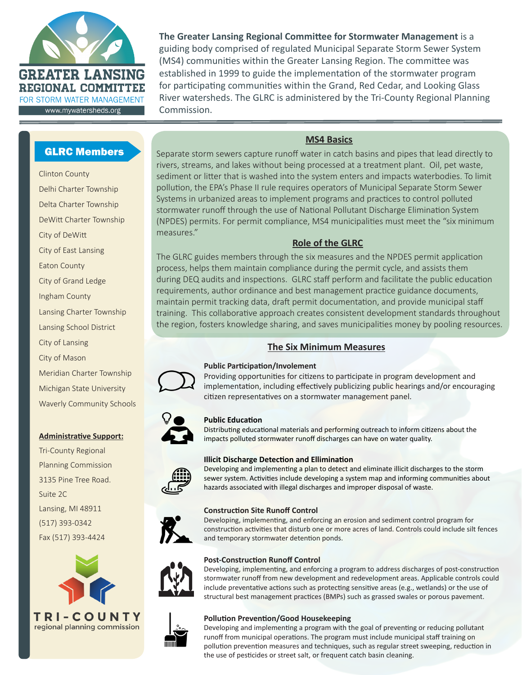

**The Greater Lansing Regional Committee for Stormwater Management** is a guiding body comprised of regulated Municipal Separate Storm Sewer System (MS4) communities within the Greater Lansing Region. The committee was established in 1999 to guide the implementation of the stormwater program for participating communities within the Grand, Red Cedar, and Looking Glass River watersheds. The GLRC is administered by the Tri-County Regional Planning Commission.

# GLRC Members

Clinton County Delhi Charter Township Delta Charter Township DeWitt Charter Township City of DeWitt City of East Lansing Eaton County City of Grand Ledge Ingham County Lansing Charter Township Lansing School District City of Lansing City of Mason Meridian Charter Township Michigan State University Waverly Community Schools

#### **Administrative Support:**

Tri-County Regional Planning Commission 3135 Pine Tree Road. Suite 2C Lansing, MI 48911 (517) 393-0342 Fax (517) 393-4424



### **MS4 Basics**

Separate storm sewers capture runoff water in catch basins and pipes that lead directly to rivers, streams, and lakes without being processed at a treatment plant. Oil, pet waste, sediment or litter that is washed into the system enters and impacts waterbodies. To limit pollution, the EPA's Phase II rule requires operators of Municipal Separate Storm Sewer Systems in urbanized areas to implement programs and practices to control polluted stormwater runoff through the use of National Pollutant Discharge Elimination System (NPDES) permits. For permit compliance, MS4 municipalities must meet the "six minimum measures."

### **Role of the GLRC**

The GLRC guides members through the six measures and the NPDES permit application process, helps them maintain compliance during the permit cycle, and assists them during DEQ audits and inspections. GLRC staff perform and facilitate the public education requirements, author ordinance and best management practice guidance documents, maintain permit tracking data, draft permit documentation, and provide municipal staff training. This collaborative approach creates consistent development standards throughout the region, fosters knowledge sharing, and saves municipalities money by pooling resources.

## **The Six Minimum Measures**



#### **Public Participation/Involement**

Providing opportunities for citizens to participate in program development and implementation, including effectively publicizing public hearings and/or encouraging citizen representatives on a stormwater management panel.



#### **Public Education**

Distributing educational materials and performing outreach to inform citizens about the impacts polluted stormwater runoff discharges can have on water quality.



#### **Illicit Discharge Detection and Ellimination**

Developing and implementing a plan to detect and eliminate illicit discharges to the storm sewer system. Activities include developing a system map and informing communities about hazards associated with illegal discharges and improper disposal of waste.

#### **Construction Site Runoff Control**

Developing, implementing, and enforcing an erosion and sediment control program for construction activities that disturb one or more acres of land. Controls could include silt fences and temporary stormwater detention ponds.



#### **Post-Construction Runoff Control**

Developing, implementing, and enforcing a program to address discharges of post-construction stormwater runoff from new development and redevelopment areas. Applicable controls could include preventative actions such as protecting sensitive areas (e.g., wetlands) or the use of structural best management practices (BMPs) such as grassed swales or porous pavement.



### **Pollution Prevention/Good Housekeeping**

Developing and implementing a program with the goal of preventing or reducing pollutant runoff from municipal operations. The program must include municipal staff training on pollution prevention measures and techniques, such as regular street sweeping, reduction in the use of pesticides or street salt, or frequent catch basin cleaning.